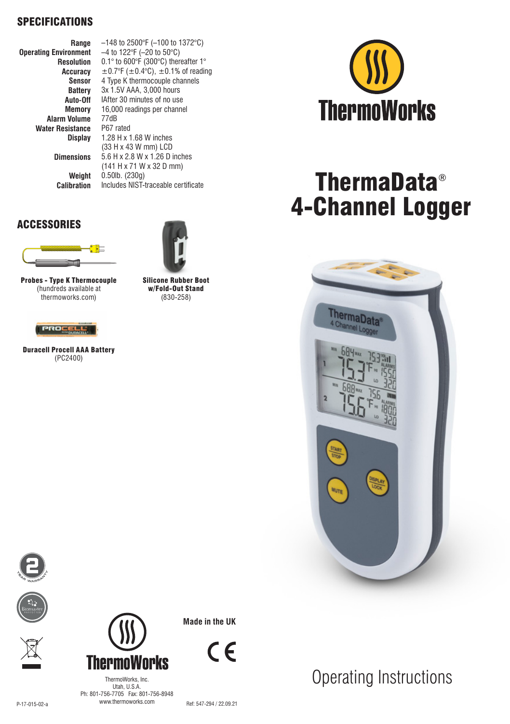#### SPECIFICATIONS

**Range Operating Environment Resolution Accuracy Sensor Battery Auto-Off Memory Alarm Volume Water Resistance Display**

> **Dimensions Weight Calibration**

Probes - Type K Thermocouple (hundreds available at thermoworks.com)

37

Œ

Duracell Procell AAA Battery (PC2400)

ROCELL

ACCESSORIES

–148 to 2500°F (–100 to 1372°C) –4 to 122°F (–20 to 50°C) 0.1° to 600°F (300°C) thereafter 1°  $\pm$ 0.7°F ( $\pm$ 0.4°C),  $\pm$ 0.1% of reading 4 Type K thermocouple channels 3x 1.5V AAA, 3,000 hours IAfter 30 minutes of no use 16,000 readings per channel 77dB P67 rated 1.28 H x 1.68 W inches (33 H x 43 W mm) LCD 5.6 H x 2.8 W x 1.26 D inches (141 H x 71 W x 32 D mm) 0.50lb. (230g) Includes NIST-traceable certificate

> Silicone Rubber Boot w/Fold-Out Stand (830-258)



# ThermaData® 4-Channel Logger



Operating Instructions









**Made in the UK**

 $\epsilon$ 

P-17-015-02-a WWW.thermoworks.com Ref: 547-294 / 22.09.21 ThermoWorks, Inc. Utah, U.S.A. Ph: 801-756-7705 Fax: 801-756-8948 www.thermoworks.com